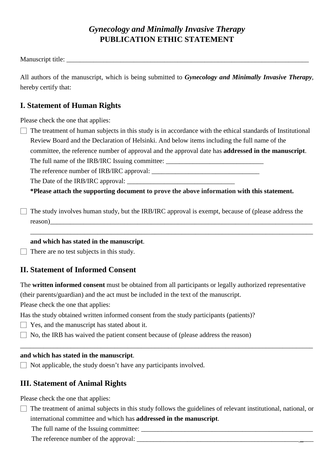# *Gynecology and Minimally Invasive Therapy* **PUBLICATION ETHIC STATEMENT**

Manuscript title: \_\_\_\_\_\_\_\_\_\_\_\_\_\_\_\_\_\_\_\_\_\_\_\_\_\_\_\_\_\_\_\_\_\_\_\_\_\_\_\_\_\_\_\_\_\_\_\_\_\_\_\_\_\_\_\_\_\_\_\_\_\_\_\_\_\_\_\_\_\_\_\_

All authors of the manuscript, which is being submitted to *Gynecology and Minimally Invasive Therapy*, hereby certify that:

#### **I. Statement of Human Rights**

Please check the one that applies:

 $\Box$  The treatment of human subjects in this study is in accordance with the ethical standards of Institutional Review Board and the Declaration of Helsinki. And below items including the full name of the committee, the reference number of approval and the approval date has **addressed in the manuscript**. The full name of the IRB/IRC Issuing committee: \_\_\_\_\_\_\_\_\_\_\_\_\_\_\_\_\_\_\_\_\_\_\_\_\_\_\_\_\_\_\_\_

The reference number of IRB/IRC approval:

The Date of the IRB/IRC approval:

 **\*Please attach the supporting document to prove the above information with this statement.**

□ The study involves human study, but the IRB/IRC approval is exempt, because of (please address the reason)\_\_\_\_\_\_\_\_\_\_\_\_\_\_\_\_\_\_\_\_\_\_\_\_\_\_\_\_\_\_\_\_\_\_\_\_\_\_\_\_\_\_\_\_\_\_\_\_\_\_\_\_\_\_\_\_\_\_\_\_\_\_\_\_\_\_\_\_\_\_\_\_\_\_\_\_\_\_

\_\_\_\_\_\_\_\_\_\_\_\_\_\_\_\_\_\_\_\_\_\_\_\_\_\_\_\_\_\_\_\_\_\_\_\_\_\_\_\_\_\_\_\_\_\_\_\_\_\_\_\_\_\_\_\_\_\_\_\_\_\_\_\_\_\_\_\_\_\_\_\_\_\_\_\_\_\_\_\_\_\_\_\_

#### **and which has stated in the manuscript**.

 $\Box$  There are no test subjects in this study.

### **II. Statement of Informed Consent**

The **written informed consent** must be obtained from all participants or legally authorized representative

(their parents/guardian) and the act must be included in the text of the manuscript.

Please check the one that applies:

Has the study obtained written informed consent from the study participants (patients)?

- $\Box$  Yes, and the manuscript has stated about it.
- $\Box$  No, the IRB has waived the patient consent because of (please address the reason)

#### **and which has stated in the manuscript**.

 $\Box$  Not applicable, the study doesn't have any participants involved.

### **III. Statement of Animal Rights**

Please check the one that applies:

□ The treatment of animal subjects in this study follows the guidelines of relevant institutional, national, or international committee and which has **addressed in the manuscript**.

\_\_\_\_\_\_\_\_\_\_\_\_\_\_\_\_\_\_\_\_\_\_\_\_\_\_\_\_\_\_\_\_\_\_\_\_\_\_\_\_\_\_\_\_\_\_\_\_\_\_\_\_\_\_\_\_\_\_\_\_\_\_\_\_\_\_\_\_\_\_\_\_\_\_\_\_\_\_\_\_\_\_\_\_\_\_\_

The full name of the Issuing committee:

The reference number of the approval: